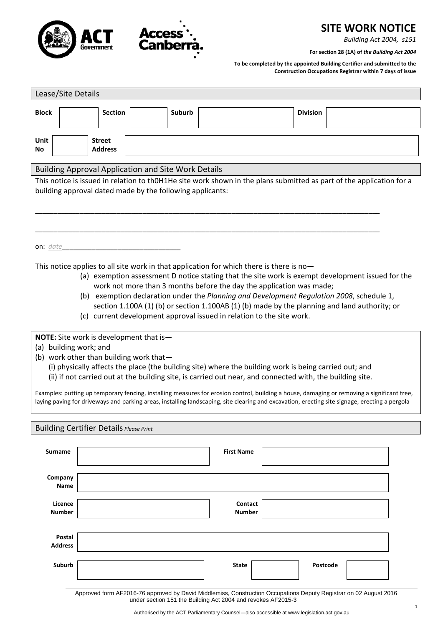

# **SITE WORK NOTICE**

*Building Act 2004, s151*

**For section 28 (1A) of** *the Building Act 2004*

**To be completed by the appointed Building Certifier and submitted to the Construction Occupations Registrar within 7 days of issue**

| Lease/Site Details                                                                                                                                                                                                                                                                                                                                                                                                                                                                                                                                                                                                                   |                                 |  |        |                                                                                                                                                                                                                                                                                                                                                                                                                                                                                                                                              |  |                 |  |  |  |
|--------------------------------------------------------------------------------------------------------------------------------------------------------------------------------------------------------------------------------------------------------------------------------------------------------------------------------------------------------------------------------------------------------------------------------------------------------------------------------------------------------------------------------------------------------------------------------------------------------------------------------------|---------------------------------|--|--------|----------------------------------------------------------------------------------------------------------------------------------------------------------------------------------------------------------------------------------------------------------------------------------------------------------------------------------------------------------------------------------------------------------------------------------------------------------------------------------------------------------------------------------------------|--|-----------------|--|--|--|
| <b>Block</b>                                                                                                                                                                                                                                                                                                                                                                                                                                                                                                                                                                                                                         | <b>Section</b>                  |  | Suburb |                                                                                                                                                                                                                                                                                                                                                                                                                                                                                                                                              |  | <b>Division</b> |  |  |  |
| Unit<br>No                                                                                                                                                                                                                                                                                                                                                                                                                                                                                                                                                                                                                           | <b>Street</b><br><b>Address</b> |  |        |                                                                                                                                                                                                                                                                                                                                                                                                                                                                                                                                              |  |                 |  |  |  |
| <b>Building Approval Application and Site Work Details</b>                                                                                                                                                                                                                                                                                                                                                                                                                                                                                                                                                                           |                                 |  |        |                                                                                                                                                                                                                                                                                                                                                                                                                                                                                                                                              |  |                 |  |  |  |
| This notice is issued in relation to thOH1He site work shown in the plans submitted as part of the application for a<br>building approval dated made by the following applicants:                                                                                                                                                                                                                                                                                                                                                                                                                                                    |                                 |  |        |                                                                                                                                                                                                                                                                                                                                                                                                                                                                                                                                              |  |                 |  |  |  |
| on: date                                                                                                                                                                                                                                                                                                                                                                                                                                                                                                                                                                                                                             |                                 |  |        |                                                                                                                                                                                                                                                                                                                                                                                                                                                                                                                                              |  |                 |  |  |  |
|                                                                                                                                                                                                                                                                                                                                                                                                                                                                                                                                                                                                                                      |                                 |  |        | This notice applies to all site work in that application for which there is there is no-<br>(a) exemption assessment D notice stating that the site work is exempt development issued for the<br>work not more than 3 months before the day the application was made;<br>(b) exemption declaration under the Planning and Development Regulation 2008, schedule 1,<br>section 1.100A (1) (b) or section 1.100AB (1) (b) made by the planning and land authority; or<br>(c) current development approval issued in relation to the site work. |  |                 |  |  |  |
| NOTE: Site work is development that is-<br>(a) building work; and<br>(b) work other than building work that-<br>(i) physically affects the place (the building site) where the building work is being carried out; and<br>(ii) if not carried out at the building site, is carried out near, and connected with, the building site.<br>Examples: putting up temporary fencing, installing measures for erosion control, building a house, damaging or removing a significant tree,<br>laying paving for driveways and parking areas, installing landscaping, site clearing and excavation, erecting site signage, erecting a pergola |                                 |  |        |                                                                                                                                                                                                                                                                                                                                                                                                                                                                                                                                              |  |                 |  |  |  |
| <b>Building Certifier Details Please Print</b>                                                                                                                                                                                                                                                                                                                                                                                                                                                                                                                                                                                       |                                 |  |        |                                                                                                                                                                                                                                                                                                                                                                                                                                                                                                                                              |  |                 |  |  |  |
| <b>Surname</b>                                                                                                                                                                                                                                                                                                                                                                                                                                                                                                                                                                                                                       |                                 |  |        | <b>First Name</b>                                                                                                                                                                                                                                                                                                                                                                                                                                                                                                                            |  |                 |  |  |  |
| Company<br>Name                                                                                                                                                                                                                                                                                                                                                                                                                                                                                                                                                                                                                      |                                 |  |        |                                                                                                                                                                                                                                                                                                                                                                                                                                                                                                                                              |  |                 |  |  |  |
| Licence<br><b>Number</b>                                                                                                                                                                                                                                                                                                                                                                                                                                                                                                                                                                                                             |                                 |  |        | Contact<br>Number                                                                                                                                                                                                                                                                                                                                                                                                                                                                                                                            |  |                 |  |  |  |
| <b>Postal</b><br><b>Address</b>                                                                                                                                                                                                                                                                                                                                                                                                                                                                                                                                                                                                      |                                 |  |        |                                                                                                                                                                                                                                                                                                                                                                                                                                                                                                                                              |  |                 |  |  |  |
| Suburb                                                                                                                                                                                                                                                                                                                                                                                                                                                                                                                                                                                                                               |                                 |  |        | State                                                                                                                                                                                                                                                                                                                                                                                                                                                                                                                                        |  | Postcode        |  |  |  |
| Approved form AF2016-76 approved by David Middlemiss, Construction Occupations Deputy Registrar on 02 August 2016<br>under section 151 the Building Act 2004 and revokes AF2015-3                                                                                                                                                                                                                                                                                                                                                                                                                                                    |                                 |  |        |                                                                                                                                                                                                                                                                                                                                                                                                                                                                                                                                              |  |                 |  |  |  |